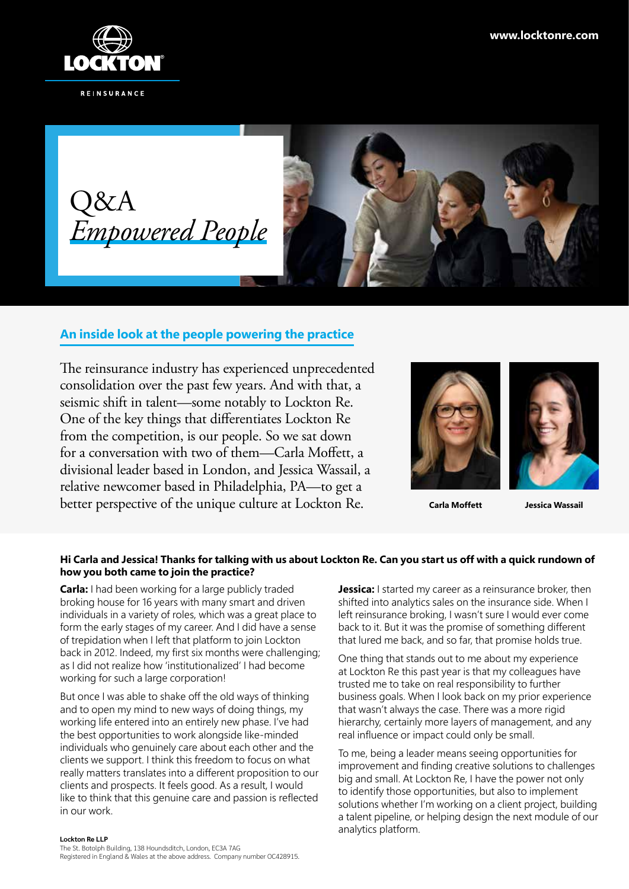





# **An inside look at the people powering the practice**

The reinsurance industry has experienced unprecedented consolidation over the past few years. And with that, a seismic shift in talent—some notably to Lockton Re. One of the key things that differentiates Lockton Re from the competition, is our people. So we sat down for a conversation with two of them—Carla Moffett, a divisional leader based in London, and Jessica Wassail, a relative newcomer based in Philadelphia, PA—to get a better perspective of the unique culture at Lockton Re.



**Carla Moffett**

**Jessica Wassail**

## **Hi Carla and Jessica! Thanks for talking with us about Lockton Re. Can you start us off with a quick rundown of how you both came to join the practice?**

**Carla:** I had been working for a large publicly traded broking house for 16 years with many smart and driven individuals in a variety of roles, which was a great place to form the early stages of my career. And I did have a sense of trepidation when I left that platform to join Lockton back in 2012. Indeed, my first six months were challenging; as I did not realize how 'institutionalized' I had become working for such a large corporation!

But once I was able to shake off the old ways of thinking and to open my mind to new ways of doing things, my working life entered into an entirely new phase. I've had the best opportunities to work alongside like-minded individuals who genuinely care about each other and the clients we support. I think this freedom to focus on what really matters translates into a different proposition to our clients and prospects. It feels good. As a result, I would like to think that this genuine care and passion is reflected in our work.

#### **Lockton Re LLP**

The St. Botolph Building, 138 Houndsditch, London, EC3A 7AG Registered in England & Wales at the above address. Company number OC428915. **Jessica:** I started my career as a reinsurance broker, then shifted into analytics sales on the insurance side. When I left reinsurance broking, I wasn't sure I would ever come back to it. But it was the promise of something different that lured me back, and so far, that promise holds true.

One thing that stands out to me about my experience at Lockton Re this past year is that my colleagues have trusted me to take on real responsibility to further business goals. When I look back on my prior experience that wasn't always the case. There was a more rigid hierarchy, certainly more layers of management, and any real influence or impact could only be small.

To me, being a leader means seeing opportunities for improvement and finding creative solutions to challenges big and small. At Lockton Re, I have the power not only to identify those opportunities, but also to implement solutions whether I'm working on a client project, building a talent pipeline, or helping design the next module of our analytics platform.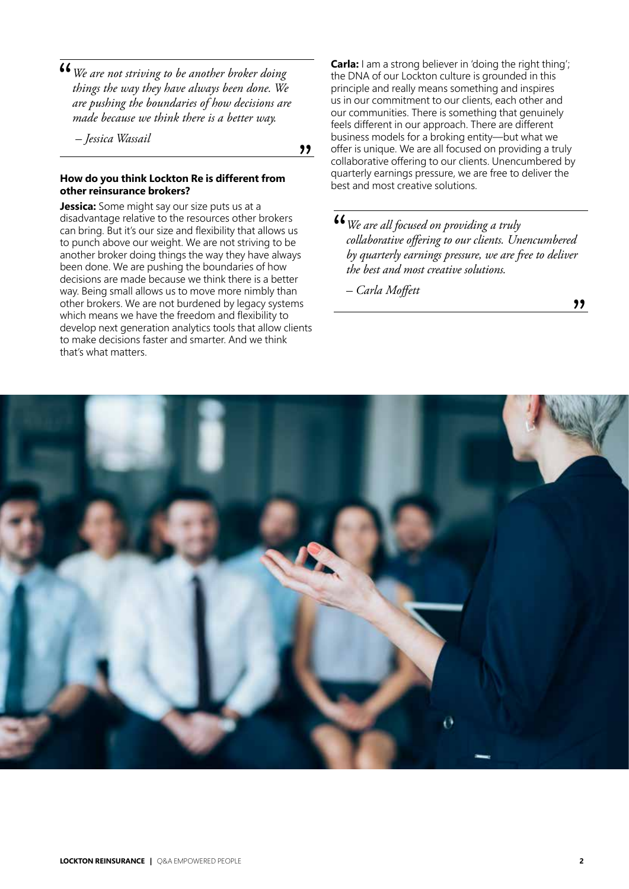*We are not striving to be another broker doing*  " *things the way they have always been done. We are pushing the boundaries of how decisions are made because we think there is a better way.*

 *– Jessica Wassail*

"

#### **How do you think Lockton Re is different from other reinsurance brokers?**

**Jessica:** Some might say our size puts us at a disadvantage relative to the resources other brokers can bring. But it's our size and flexibility that allows us to punch above our weight. We are not striving to be another broker doing things the way they have always been done. We are pushing the boundaries of how decisions are made because we think there is a better way. Being small allows us to move more nimbly than other brokers. We are not burdened by legacy systems which means we have the freedom and flexibility to develop next generation analytics tools that allow clients to make decisions faster and smarter. And we think that's what matters.

**Carla:** I am a strong believer in 'doing the right thing'; the DNA of our Lockton culture is grounded in this principle and really means something and inspires us in our commitment to our clients, each other and our communities. There is something that genuinely feels different in our approach. There are different business models for a broking entity—but what we offer is unique. We are all focused on providing a truly collaborative offering to our clients. Unencumbered by quarterly earnings pressure, we are free to deliver the best and most creative solutions.

**<sup>66</sup>** We are all focused on providing a truly collaborative offering to our clients. Un *collaborative offering to our clients. Unencumbered by quarterly earnings pressure, we are free to deliver the best and most creative solutions.*

*– Carla Moffett*



"